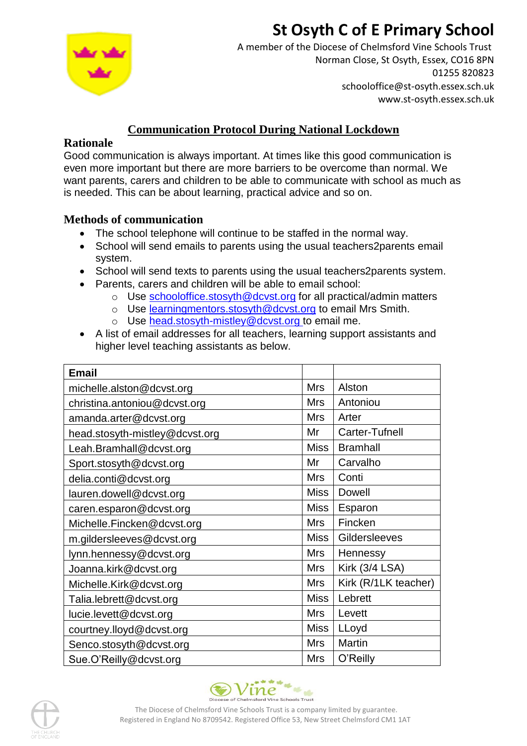# **St Osyth C of E Primary School**



A member of the Diocese of Chelmsford Vine Schools Trust Norman Close, St Osyth, Essex, CO16 8PN 01255 820823 schooloffice@st-osyth.essex.sch.uk www.st-osyth.essex.sch.uk

## **Communication Protocol During National Lockdown**

### **Rationale**

Good communication is always important. At times like this good communication is even more important but there are more barriers to be overcome than normal. We want parents, carers and children to be able to communicate with school as much as is needed. This can be about learning, practical advice and so on.

### **Methods of communication**

- The school telephone will continue to be staffed in the normal way.
- School will send emails to parents using the usual teachers2parents email system.
- School will send texts to parents using the usual teachers2parents system.
- Parents, carers and children will be able to email school:
	- o Use [schooloffice.stosyth@dcvst.org](mailto:schooloffice.stosyth@dcvst.org) for all practical/admin matters
	- o Use [learningmentors.stosyth@dcvst.org](mailto:learningmentors.stosyth@dcvst.org) to email Mrs Smith.
		- o Use [head.stosyth-mistley@dcvst.org](mailto:head.stosyth-mistley@dcvst.org) to email me.
- A list of email addresses for all teachers, learning support assistants and higher level teaching assistants as below.

| <b>Email</b>                   |             |                       |
|--------------------------------|-------------|-----------------------|
| michelle.alston@dcvst.org      | <b>Mrs</b>  | Alston                |
| christina.antoniou@dcvst.org   | <b>Mrs</b>  | Antoniou              |
| amanda.arter@dcvst.org         | <b>Mrs</b>  | Arter                 |
| head.stosyth-mistley@dcvst.org | Mr          | Carter-Tufnell        |
| Leah.Bramhall@dcvst.org        | <b>Miss</b> | <b>Bramhall</b>       |
| Sport.stosyth@dcvst.org        | Mr          | Carvalho              |
| delia.conti@dcvst.org          | <b>Mrs</b>  | Conti                 |
| lauren.dowell@dcvst.org        | <b>Miss</b> | <b>Dowell</b>         |
| caren.esparon@dcvst.org        | <b>Miss</b> | Esparon               |
| Michelle.Fincken@dcvst.org     | <b>Mrs</b>  | Fincken               |
| m.gildersleeves@dcvst.org      | <b>Miss</b> | Gildersleeves         |
| lynn.hennessy@dcvst.org        | <b>Mrs</b>  | Hennessy              |
| Joanna.kirk@dcvst.org          | Mrs         | <b>Kirk (3/4 LSA)</b> |
| Michelle.Kirk@dcvst.org        | <b>Mrs</b>  | Kirk (R/1LK teacher)  |
| Talia.lebrett@dcvst.org        | <b>Miss</b> | Lebrett               |
| lucie.levett@dcvst.org         | <b>Mrs</b>  | Levett                |
| courtney.lloyd@dcvst.org       | <b>Miss</b> | LLoyd                 |
| Senco.stosyth@dcvst.org        | <b>Mrs</b>  | <b>Martin</b>         |
| Sue.O'Reilly@dcvst.org         | <b>Mrs</b>  | O'Reilly              |





The Diocese of Chelmsford Vine Schools Trust is a company limited by guarantee. Registered in England No 8709542. Registered Office 53, New Street Chelmsford CM1 1AT